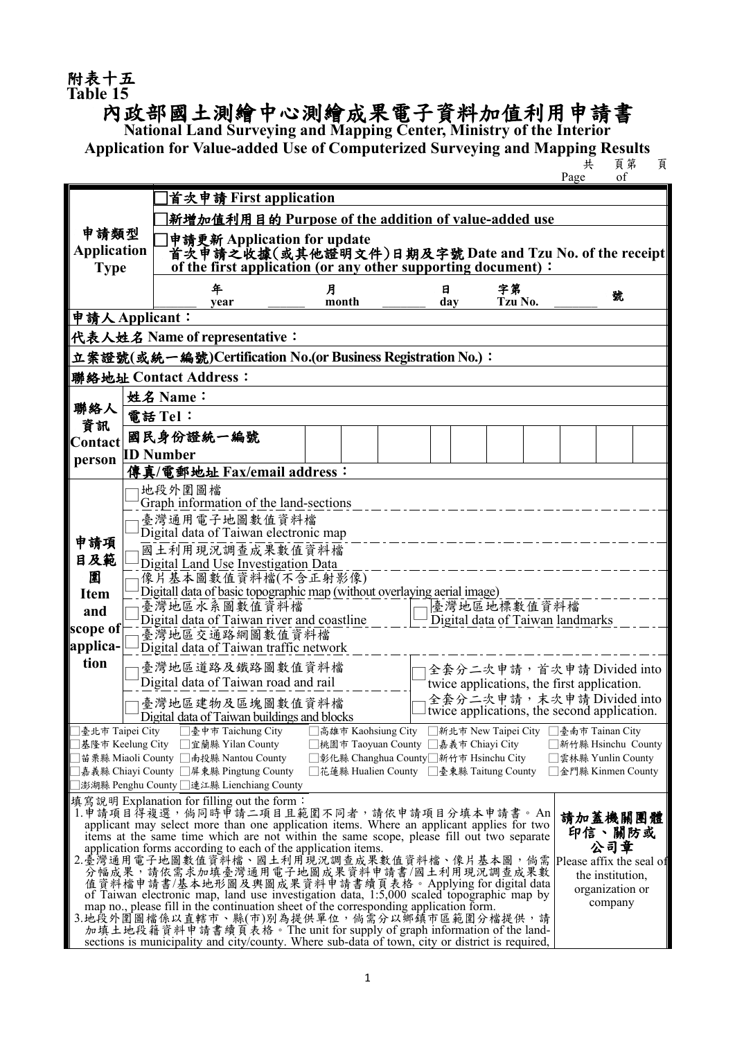## 附表十五<br>Table 15

## **Table 15** 內政部國土測繪中心測繪成果電子資料加值利用申請書 **National Land Surveying and Mapping Center, Ministry of the Interior**

Application for Value-added Use of Computerized Surveying and Mapping Results<br>**E** 

共 頁第 頁

Page

|                                                                                                                                                                                              |                     | 首次申請 First application                                                                                                               |                                         |                                      |                                             |         |  |                                     |        |  |  |  |  |
|----------------------------------------------------------------------------------------------------------------------------------------------------------------------------------------------|---------------------|--------------------------------------------------------------------------------------------------------------------------------------|-----------------------------------------|--------------------------------------|---------------------------------------------|---------|--|-------------------------------------|--------|--|--|--|--|
|                                                                                                                                                                                              |                     | 新增加值利用目的 Purpose of the addition of value-added use                                                                                  |                                         |                                      |                                             |         |  |                                     |        |  |  |  |  |
| 申請類型                                                                                                                                                                                         |                     | 申請更新 Application for update                                                                                                          |                                         |                                      |                                             |         |  |                                     |        |  |  |  |  |
| <b>Application</b>                                                                                                                                                                           |                     | 首次申請之收據(或其他證明文件)日期及字號 Date and Tzu No. of the receipt <br>of the first application (or any other supporting document):               |                                         |                                      |                                             |         |  |                                     |        |  |  |  |  |
| <b>Type</b>                                                                                                                                                                                  |                     |                                                                                                                                      |                                         |                                      |                                             |         |  |                                     |        |  |  |  |  |
|                                                                                                                                                                                              |                     | 年                                                                                                                                    | 月                                       |                                      | 日                                           | 字第      |  | 號                                   |        |  |  |  |  |
| 申請人Applicant:                                                                                                                                                                                |                     | year                                                                                                                                 | month                                   |                                      | day                                         | Tzu No. |  |                                     |        |  |  |  |  |
|                                                                                                                                                                                              |                     | 代表人姓名 Name of representative:                                                                                                        |                                         |                                      |                                             |         |  |                                     |        |  |  |  |  |
| 立案證號(或統一編號)Certification No.(or Business Registration No.):                                                                                                                                  |                     |                                                                                                                                      |                                         |                                      |                                             |         |  |                                     |        |  |  |  |  |
|                                                                                                                                                                                              |                     |                                                                                                                                      |                                         |                                      |                                             |         |  |                                     |        |  |  |  |  |
| 聯絡地址 Contact Address:                                                                                                                                                                        |                     |                                                                                                                                      |                                         |                                      |                                             |         |  |                                     |        |  |  |  |  |
| 聯絡人                                                                                                                                                                                          | 姓名 Name:<br>電話 Tel: |                                                                                                                                      |                                         |                                      |                                             |         |  |                                     |        |  |  |  |  |
| 資訊                                                                                                                                                                                           |                     |                                                                                                                                      |                                         |                                      |                                             |         |  |                                     |        |  |  |  |  |
| <b>Contact</b>                                                                                                                                                                               |                     | 國民身份證統一編號                                                                                                                            |                                         |                                      |                                             |         |  |                                     |        |  |  |  |  |
| person                                                                                                                                                                                       |                     | <b>ID Number</b><br>傳真/電郵地址 Fax/email address:                                                                                       |                                         |                                      |                                             |         |  |                                     |        |  |  |  |  |
|                                                                                                                                                                                              |                     | 地段外圍圖檔                                                                                                                               |                                         |                                      |                                             |         |  |                                     |        |  |  |  |  |
|                                                                                                                                                                                              |                     | Graph information of the land-sections                                                                                               |                                         |                                      |                                             |         |  |                                     |        |  |  |  |  |
|                                                                                                                                                                                              |                     | 臺灣通用電子地圖數值資料檔                                                                                                                        |                                         |                                      |                                             |         |  |                                     |        |  |  |  |  |
| 申請項                                                                                                                                                                                          |                     | Digital data of Taiwan electronic map                                                                                                |                                         |                                      |                                             |         |  |                                     |        |  |  |  |  |
| 目及範                                                                                                                                                                                          |                     | 國土利用現況調查成果數值資料檔                                                                                                                      |                                         |                                      |                                             |         |  |                                     |        |  |  |  |  |
| 圍                                                                                                                                                                                            |                     | Digital Land Use Investigation Data<br>像片基本圖數值資料檔(不含正射影像)                                                                            |                                         |                                      |                                             |         |  |                                     |        |  |  |  |  |
| <b>Item</b>                                                                                                                                                                                  |                     | Digitall data of basic topographic map (without overlaying aerial image)                                                             |                                         |                                      |                                             |         |  |                                     |        |  |  |  |  |
| and                                                                                                                                                                                          |                     | 臺灣地區水系圖數值資料檔                                                                                                                         |                                         |                                      | 臺灣地區地標數值資料檔                                 |         |  |                                     |        |  |  |  |  |
| scope of                                                                                                                                                                                     |                     | Digital data of Taiwan river and coastline<br>臺灣地區交通路網圖數值資料檔                                                                         |                                         |                                      | Digital data of Taiwan landmarks            |         |  |                                     |        |  |  |  |  |
| applica-                                                                                                                                                                                     |                     | Digital data of Taiwan traffic network                                                                                               |                                         |                                      |                                             |         |  |                                     |        |  |  |  |  |
| tion                                                                                                                                                                                         |                     | 臺灣地區道路及鐵路圖數值資料檔                                                                                                                      |                                         |                                      | 全套分二次申請,首次申請Divided into                    |         |  |                                     |        |  |  |  |  |
|                                                                                                                                                                                              |                     | Digital data of Taiwan road and rail                                                                                                 |                                         |                                      | twice applications, the first application.  |         |  |                                     |        |  |  |  |  |
|                                                                                                                                                                                              |                     | 臺灣地區建物及區塊圖數值資料檔                                                                                                                      |                                         |                                      | 全套分二次申請, 末次申請 Divided into                  |         |  |                                     |        |  |  |  |  |
|                                                                                                                                                                                              |                     | Digital data of Taiwan buildings and blocks                                                                                          |                                         |                                      | twice applications, the second application. |         |  |                                     |        |  |  |  |  |
|                                                                                                                                                                                              |                     | □臺北市 Taipei City □臺中市 Taichung City □高雄市 Kaohsiung City □新北市 New Taipei City □臺南市 Tainan City<br> 基隆市 Keelung City □宜蘭縣 Yilan County |                                         | ■桃園市 Taoyuan County □嘉義市 Chiayi City |                                             |         |  | 新竹縣 Hsinchu County                  |        |  |  |  |  |
|                                                                                                                                                                                              |                     | ]苗栗縣 Miaoli County □南投縣 Nantou County                                                                                                | □彰化縣 Changhua County□新竹市 Hsinchu City   |                                      |                                             |         |  | 雲林縣 Yunlin County                   |        |  |  |  |  |
|                                                                                                                                                                                              |                     | □嘉義縣 Chiayi County □屏東縣 Pingtung County                                                                                              | □花蓮縣 Hualien County □臺東縣 Taitung County |                                      |                                             |         |  | 金門縣 Kinmen County                   |        |  |  |  |  |
|                                                                                                                                                                                              |                     | ]澎湖縣 Penghu County □連江縣 Lienchiang County                                                                                            |                                         |                                      |                                             |         |  |                                     |        |  |  |  |  |
| 填寫說明 Explanation for filling out the form:<br>1.申請項目得複選,倘同時申請二項目且範圍不同者,請依申請項目分填本申請書。An<br>請加蓋機關團體                                                                                            |                     |                                                                                                                                      |                                         |                                      |                                             |         |  |                                     |        |  |  |  |  |
| applicant may select more than one application items. Where an applicant applies for two                                                                                                     |                     |                                                                                                                                      |                                         |                                      |                                             |         |  |                                     | 印信、關防或 |  |  |  |  |
| items at the same time which are not within the same scope, please fill out two separate<br>application forms according to each of the application items.                                    |                     |                                                                                                                                      |                                         |                                      |                                             |         |  |                                     | 公司章    |  |  |  |  |
| 2.臺灣通用電子地圖數值資料檔、國土利用現況調查成果數值資料檔、像片基本圖,倘需<br>分幅成果,請依需求加填臺灣通用電子地圖成果資料申請書/國土利用現況調查成果數                                                                                                           |                     |                                                                                                                                      |                                         |                                      |                                             |         |  | Please affix the seal of            |        |  |  |  |  |
| 值資料檔申請書/基本地形圖及輿圖成果資料申請書續頁表格。Applying for digital data                                                                                                                                        |                     |                                                                                                                                      |                                         |                                      |                                             |         |  | the institution,<br>organization or |        |  |  |  |  |
| of Taiwan electronic map, land use investigation data, 1:5,000 scaled topographic map by<br>company<br>map no., please fill in the continuation sheet of the corresponding application form. |                     |                                                                                                                                      |                                         |                                      |                                             |         |  |                                     |        |  |  |  |  |
| 3.地段外圍圖檔係以直轄市、縣(市)別為提供單位,倘需分以獅鎮市區範圍分檔提供,請                                                                                                                                                    |                     |                                                                                                                                      |                                         |                                      |                                             |         |  |                                     |        |  |  |  |  |
| 加填土地段籍資料申請書續頁表格。The unit for supply of graph information of the land-<br>sections is municipality and city/county. Where sub-data of town, city or district is required,                     |                     |                                                                                                                                      |                                         |                                      |                                             |         |  |                                     |        |  |  |  |  |